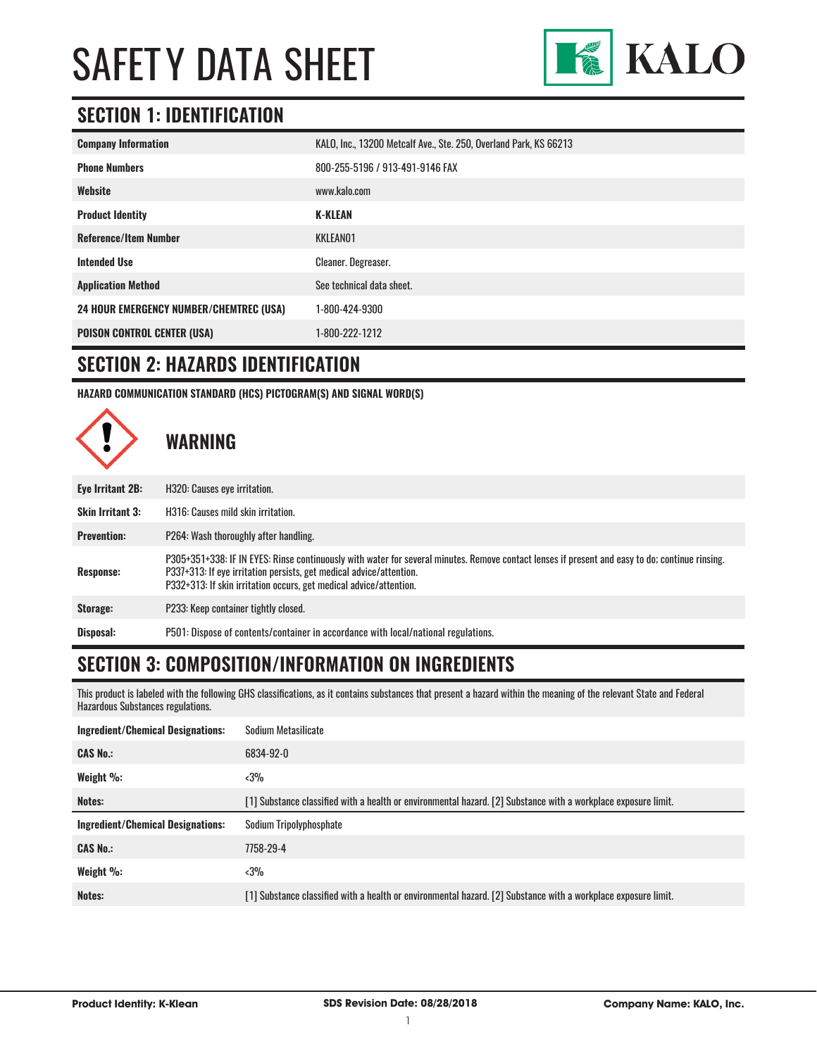

#### **SECTION 1: IDENTIFICATION**

| <b>Company Information</b>                     | KALO, Inc., 13200 Metcalf Ave., Ste. 250, Overland Park, KS 66213 |
|------------------------------------------------|-------------------------------------------------------------------|
| <b>Phone Numbers</b>                           | 800-255-5196 / 913-491-9146 FAX                                   |
| Website                                        | www.kalo.com                                                      |
| <b>Product Identity</b>                        | <b>K-KLEAN</b>                                                    |
| <b>Reference/Item Number</b>                   | KKLEAN01                                                          |
| <b>Intended Use</b>                            | <b>Cleaner. Degreaser.</b>                                        |
| <b>Application Method</b>                      | See technical data sheet.                                         |
| <b>24 HOUR EMERGENCY NUMBER/CHEMTREC (USA)</b> | 1-800-424-9300                                                    |
| <b>POISON CONTROL CENTER (USA)</b>             | 1-800-222-1212                                                    |

#### **SECTION 2: HAZARDS IDENTIFICATION**

**HAZARD COMMUNICATION STANDARD (HCS) PICTOGRAM(S) AND SIGNAL WORD(S)**



#### **SECTION 3: COMPOSITION/INFORMATION ON INGREDIENTS**

This product is labeled with the following GHS classifications, as it contains substances that present a hazard within the meaning of the relevant State and Federal Hazardous Substances regulations.

| Ingredient/Chemical Designations: | Sodium Metasilicate                                                                                            |
|-----------------------------------|----------------------------------------------------------------------------------------------------------------|
| <b>CAS No.:</b>                   | 6834-92-0                                                                                                      |
| Weight %:                         | $3%$                                                                                                           |
| Notes:                            | [1] Substance classified with a health or environmental hazard. [2] Substance with a workplace exposure limit. |
|                                   |                                                                                                                |
| Ingredient/Chemical Designations: | Sodium Tripolyphosphate                                                                                        |
| <b>CAS No.:</b>                   | 7758-29-4                                                                                                      |
| Weight $\%$ :                     | $3%$                                                                                                           |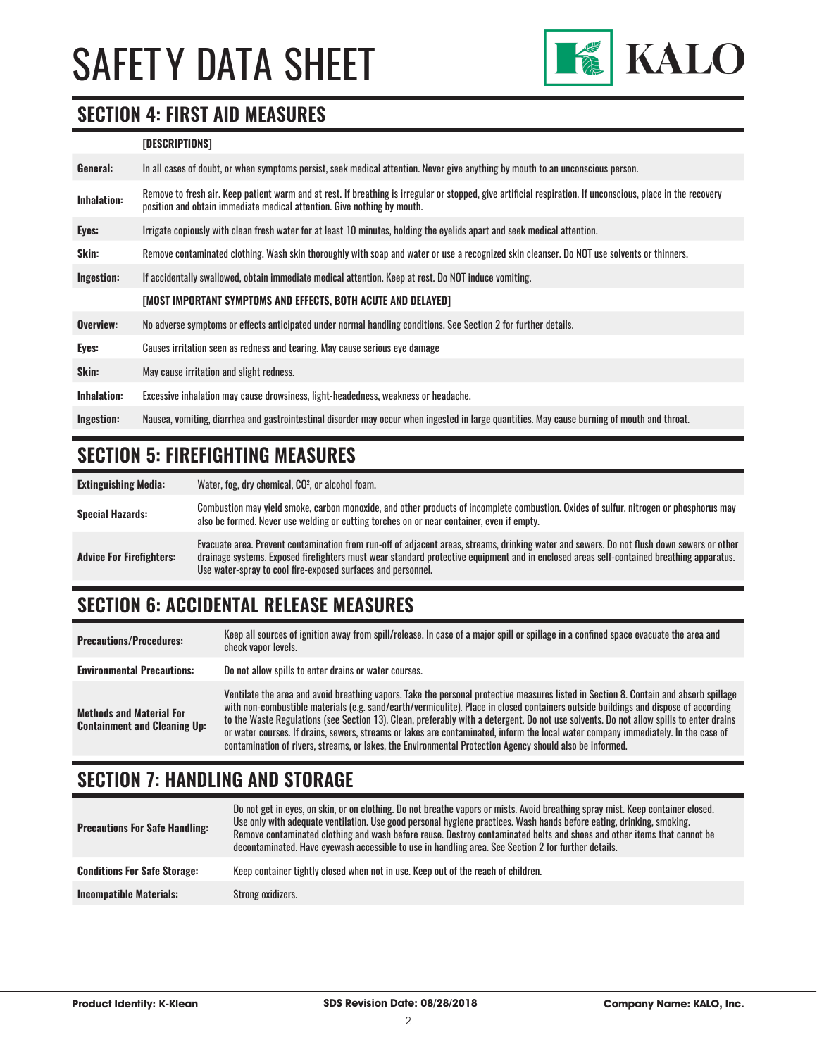

#### **SECTION 4: FIRST AID MEASURES**

#### **[DESCRIPTIONS]**

| General:           | In all cases of doubt, or when symptoms persist, seek medical attention. Never give anything by mouth to an unconscious person.                                                                                                         |
|--------------------|-----------------------------------------------------------------------------------------------------------------------------------------------------------------------------------------------------------------------------------------|
| <b>Inhalation:</b> | Remove to fresh air. Keep patient warm and at rest. If breathing is irregular or stopped, give artificial respiration. If unconscious, place in the recovery<br>position and obtain immediate medical attention. Give nothing by mouth. |
| Eyes:              | Irrigate copiously with clean fresh water for at least 10 minutes, holding the eyelids apart and seek medical attention.                                                                                                                |
| Skin:              | Remove contaminated clothing. Wash skin thoroughly with soap and water or use a recognized skin cleanser. Do NOT use solvents or thinners.                                                                                              |
| Ingestion:         | If accidentally swallowed, obtain immediate medical attention. Keep at rest. Do NOT induce vomiting.                                                                                                                                    |
|                    | [MOST IMPORTANT SYMPTOMS AND EFFECTS, BOTH ACUTE AND DELAYED]                                                                                                                                                                           |
| Overview:          | No adverse symptoms or effects anticipated under normal handling conditions. See Section 2 for further details.                                                                                                                         |
| Eyes:              | Causes irritation seen as redness and tearing. May cause serious eye damage                                                                                                                                                             |
| Skin:              | May cause irritation and slight redness.                                                                                                                                                                                                |
| Inhalation:        | Excessive inhalation may cause drowsiness, light-headedness, weakness or headache.                                                                                                                                                      |
| Ingestion:         | Nausea, vomiting, diarrhea and gastrointestinal disorder may occur when ingested in large quantities. May cause burning of mouth and throat.                                                                                            |

#### **SECTION 5: FIREFIGHTING MEASURES**

**Extinguishing Media:** Water, fog, dry chemical, CO<sup>2</sup>, or alcohol foam. Special Hazards:<br>
Special Hazards:<br>
Special Hazards:<br>
Special Hazards:<br>
Special Hazards:<br>
Special Hazards: also be formed. Never use welding or cutting torches on or near container, even if empty. **Advice For Firefighters:** Evacuate area. Prevent contamination from run-off of adjacent areas, streams, drinking water and sewers. Do not flush down sewers or other drainage systems. Exposed firefighters must wear standard protective equipment and in enclosed areas self-contained breathing apparatus. Use water-spray to cool fire-exposed surfaces and personnel.

#### **SECTION 6: ACCIDENTAL RELEASE MEASURES**

| <b>Precautions/Procedures:</b>                                         | Keep all sources of ignition away from spill/release. In case of a major spill or spillage in a confined space evacuate the area and<br>check vapor levels.                                                                                                                                                                                                                                                                                                                                                                                                                                                                                                               |
|------------------------------------------------------------------------|---------------------------------------------------------------------------------------------------------------------------------------------------------------------------------------------------------------------------------------------------------------------------------------------------------------------------------------------------------------------------------------------------------------------------------------------------------------------------------------------------------------------------------------------------------------------------------------------------------------------------------------------------------------------------|
| <b>Environmental Precautions:</b>                                      | Do not allow spills to enter drains or water courses.                                                                                                                                                                                                                                                                                                                                                                                                                                                                                                                                                                                                                     |
| <b>Methods and Material For</b><br><b>Containment and Cleaning Up:</b> | Ventilate the area and avoid breathing vapors. Take the personal protective measures listed in Section 8. Contain and absorb spillage<br>with non-combustible materials (e.g. sand/earth/vermiculite). Place in closed containers outside buildings and dispose of according<br>to the Waste Regulations (see Section 13). Clean, preferably with a detergent. Do not use solvents. Do not allow spills to enter drains<br>or water courses. If drains, sewers, streams or lakes are contaminated, inform the local water company immediately. In the case of<br>contamination of rivers, streams, or lakes, the Environmental Protection Agency should also be informed. |

#### **SECTION 7: HANDLING AND STORAGE**

| <b>Precautions For Safe Handling:</b> | Do not get in eyes, on skin, or on clothing. Do not breathe vapors or mists. Avoid breathing spray mist. Keep container closed.<br>Use only with adequate ventilation. Use good personal hygiene practices. Wash hands before eating, drinking, smoking.<br>Remove contaminated clothing and wash before reuse. Destroy contaminated belts and shoes and other items that cannot be<br>decontaminated. Have eyewash accessible to use in handling area. See Section 2 for further details. |
|---------------------------------------|--------------------------------------------------------------------------------------------------------------------------------------------------------------------------------------------------------------------------------------------------------------------------------------------------------------------------------------------------------------------------------------------------------------------------------------------------------------------------------------------|
| <b>Conditions For Safe Storage:</b>   | Keep container tightly closed when not in use. Keep out of the reach of children.                                                                                                                                                                                                                                                                                                                                                                                                          |
| <b>Incompatible Materials:</b>        | Strong oxidizers.                                                                                                                                                                                                                                                                                                                                                                                                                                                                          |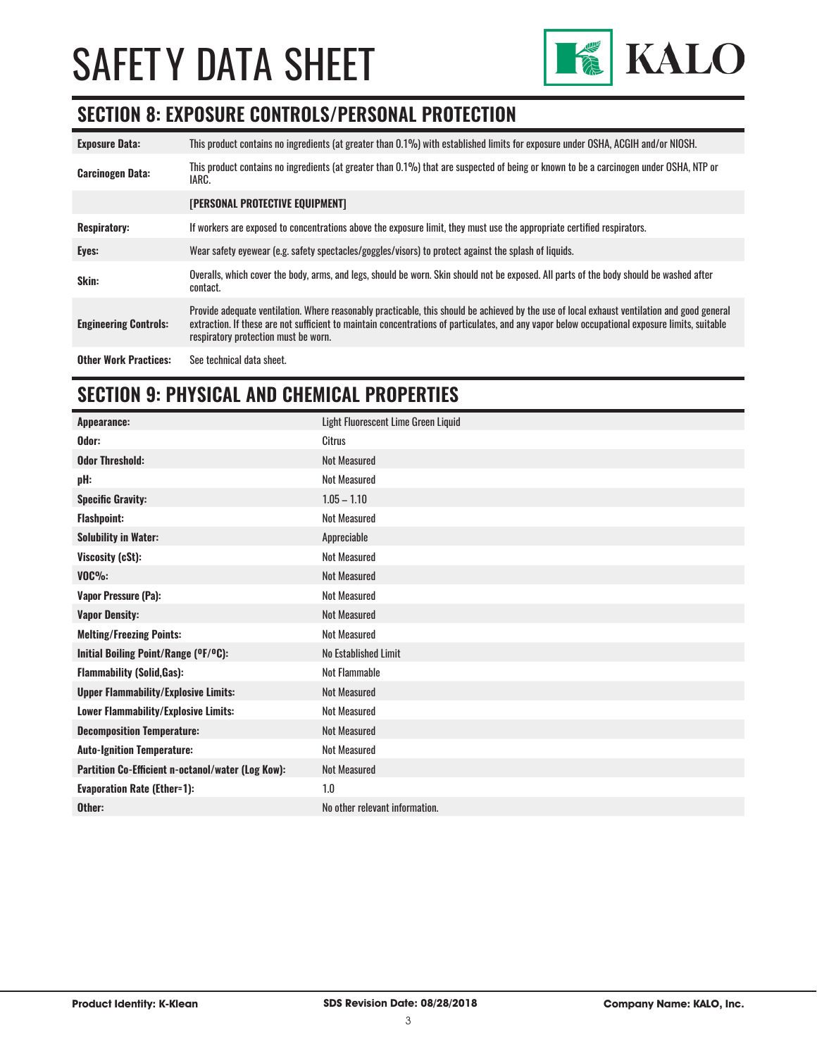

## **SECTION 8: EXPOSURE CONTROLS/PERSONAL PROTECTION**

| <b>Exposure Data:</b>        | This product contains no ingredients (at greater than 0.1%) with established limits for exposure under OSHA, ACGIH and/or NIOSH.                                                                                                                                                                                                       |
|------------------------------|----------------------------------------------------------------------------------------------------------------------------------------------------------------------------------------------------------------------------------------------------------------------------------------------------------------------------------------|
| <b>Carcinogen Data:</b>      | This product contains no ingredients (at greater than 0.1%) that are suspected of being or known to be a carcinogen under OSHA, NTP or<br>IARC.                                                                                                                                                                                        |
|                              | <b>[PERSONAL PROTECTIVE EQUIPMENT]</b>                                                                                                                                                                                                                                                                                                 |
| <b>Respiratory:</b>          | If workers are exposed to concentrations above the exposure limit, they must use the appropriate certified respirators.                                                                                                                                                                                                                |
| Eyes:                        | Wear safety eyewear (e.g. safety spectacles/goggles/visors) to protect against the splash of liquids.                                                                                                                                                                                                                                  |
| Skin:                        | Overalls, which cover the body, arms, and legs, should be worn. Skin should not be exposed. All parts of the body should be washed after<br>contact.                                                                                                                                                                                   |
| <b>Engineering Controls:</b> | Provide adequate ventilation. Where reasonably practicable, this should be achieved by the use of local exhaust ventilation and good general<br>extraction. If these are not sufficient to maintain concentrations of particulates, and any vapor below occupational exposure limits, suitable<br>respiratory protection must be worn. |
| <b>Other Work Practices:</b> | See technical data sheet.                                                                                                                                                                                                                                                                                                              |

#### **SECTION 9: PHYSICAL AND CHEMICAL PROPERTIES**

| Appearance:                                       | Light Fluorescent Lime Green Liquid |
|---------------------------------------------------|-------------------------------------|
| Odor:                                             | Citrus                              |
| <b>Odor Threshold:</b>                            | <b>Not Measured</b>                 |
| pH:                                               | <b>Not Measured</b>                 |
| <b>Specific Gravity:</b>                          | $1.05 - 1.10$                       |
| <b>Flashpoint:</b>                                | <b>Not Measured</b>                 |
| <b>Solubility in Water:</b>                       | Appreciable                         |
| Viscosity (cSt):                                  | <b>Not Measured</b>                 |
| $VOC\%$ :                                         | <b>Not Measured</b>                 |
| Vapor Pressure (Pa):                              | <b>Not Measured</b>                 |
| <b>Vapor Density:</b>                             | <b>Not Measured</b>                 |
| <b>Melting/Freezing Points:</b>                   | <b>Not Measured</b>                 |
| Initial Boiling Point/Range (OF/OC):              | No Established Limit                |
| <b>Flammability (Solid, Gas):</b>                 | <b>Not Flammable</b>                |
| <b>Upper Flammability/Explosive Limits:</b>       | <b>Not Measured</b>                 |
| Lower Flammability/Explosive Limits:              | <b>Not Measured</b>                 |
| <b>Decomposition Temperature:</b>                 | <b>Not Measured</b>                 |
| <b>Auto-Ignition Temperature:</b>                 | <b>Not Measured</b>                 |
| Partition Co-Efficient n-octanol/water (Log Kow): | <b>Not Measured</b>                 |
| <b>Evaporation Rate (Ether=1):</b>                | 1.0                                 |
| Other:                                            | No other relevant information.      |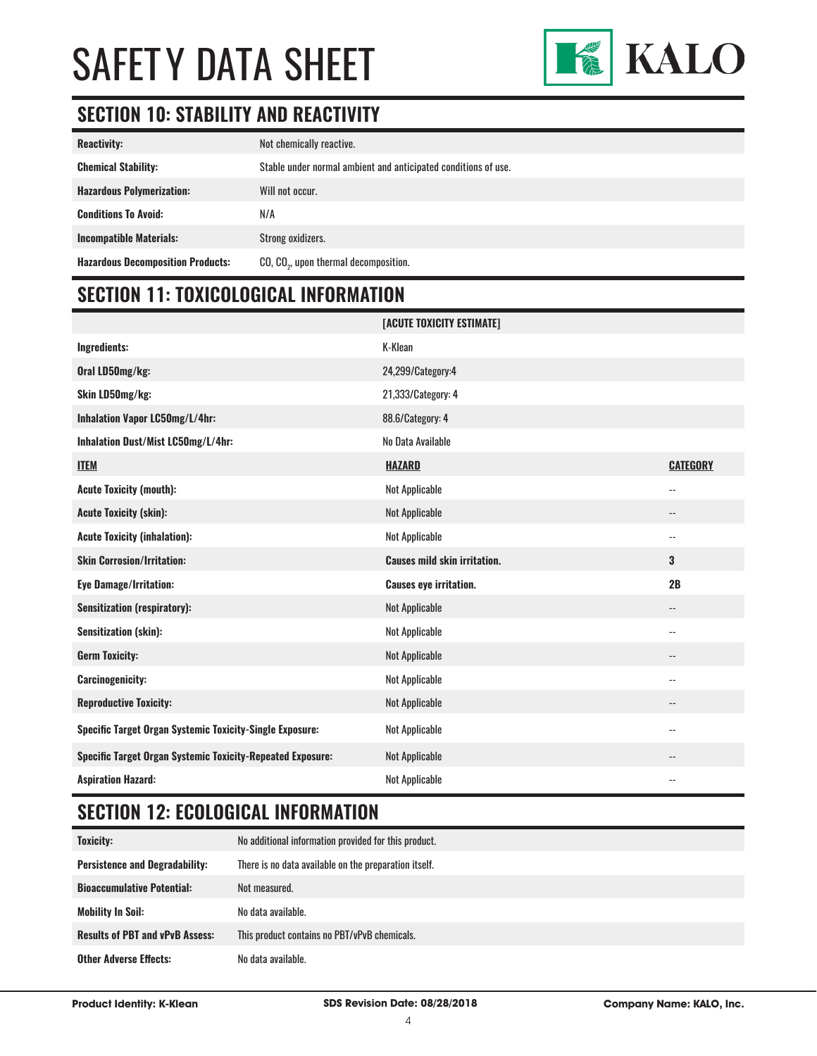

### **SECTION 10: STABILITY AND REACTIVITY**

| <b>Reactivity:</b>                       | Not chemically reactive.                                       |
|------------------------------------------|----------------------------------------------------------------|
| <b>Chemical Stability:</b>               | Stable under normal ambient and anticipated conditions of use. |
| <b>Hazardous Polymerization:</b>         | Will not occur.                                                |
| <b>Conditions To Avoid:</b>              | N/A                                                            |
| Incompatible Materials:                  | Strong oxidizers.                                              |
| <b>Hazardous Decomposition Products:</b> | CO, CO <sub>2</sub> , upon thermal decomposition.              |

## **SECTION 11: TOXICOLOGICAL INFORMATION**

|                                                                   | [ACUTE TOXICITY ESTIMATE]           |                            |
|-------------------------------------------------------------------|-------------------------------------|----------------------------|
| Ingredients:                                                      | K-Klean                             |                            |
| Oral LD50mg/kg:                                                   | 24,299/Category:4                   |                            |
| Skin LD50mg/kg:                                                   | 21,333/Category: 4                  |                            |
| Inhalation Vapor LC50mg/L/4hr:                                    | 88.6/Category: 4                    |                            |
| Inhalation Dust/Mist LC50mg/L/4hr:                                | No Data Available                   |                            |
| <b>ITEM</b>                                                       | <b>HAZARD</b>                       | <b>CATEGORY</b>            |
| <b>Acute Toxicity (mouth):</b>                                    | <b>Not Applicable</b>               | $\overline{\phantom{a}}$   |
| <b>Acute Toxicity (skin):</b>                                     | <b>Not Applicable</b>               | $\overline{\phantom{a}}$ . |
| <b>Acute Toxicity (inhalation):</b>                               | <b>Not Applicable</b>               | $\overline{\phantom{a}}$ . |
| <b>Skin Corrosion/Irritation:</b>                                 | <b>Causes mild skin irritation.</b> | 3                          |
| <b>Eye Damage/Irritation:</b>                                     | <b>Causes eye irritation.</b>       | 2B                         |
| <b>Sensitization (respiratory):</b>                               |                                     |                            |
|                                                                   | <b>Not Applicable</b>               | $\overline{\phantom{a}}$ . |
| Sensitization (skin):                                             | <b>Not Applicable</b>               | $\overline{\phantom{a}}$   |
| <b>Germ Toxicity:</b>                                             | <b>Not Applicable</b>               | $\overline{\phantom{a}}$ . |
| <b>Carcinogenicity:</b>                                           | <b>Not Applicable</b>               | $\overline{\phantom{a}}$   |
| <b>Reproductive Toxicity:</b>                                     | <b>Not Applicable</b>               | $\overline{\phantom{a}}$ . |
| <b>Specific Target Organ Systemic Toxicity-Single Exposure:</b>   | <b>Not Applicable</b>               | $\qquad \qquad -$          |
| <b>Specific Target Organ Systemic Toxicity-Repeated Exposure:</b> | <b>Not Applicable</b>               | $\overline{\phantom{a}}$   |

## **SECTION 12: ECOLOGICAL INFORMATION**

| <b>Toxicity:</b>                       | No additional information provided for this product.  |
|----------------------------------------|-------------------------------------------------------|
| <b>Persistence and Degradability:</b>  | There is no data available on the preparation itself. |
| <b>Bioaccumulative Potential:</b>      | Not measured.                                         |
| <b>Mobility In Soil:</b>               | No data available.                                    |
| <b>Results of PBT and vPvB Assess:</b> | This product contains no PBT/vPvB chemicals.          |
| <b>Other Adverse Effects:</b>          | No data available.                                    |